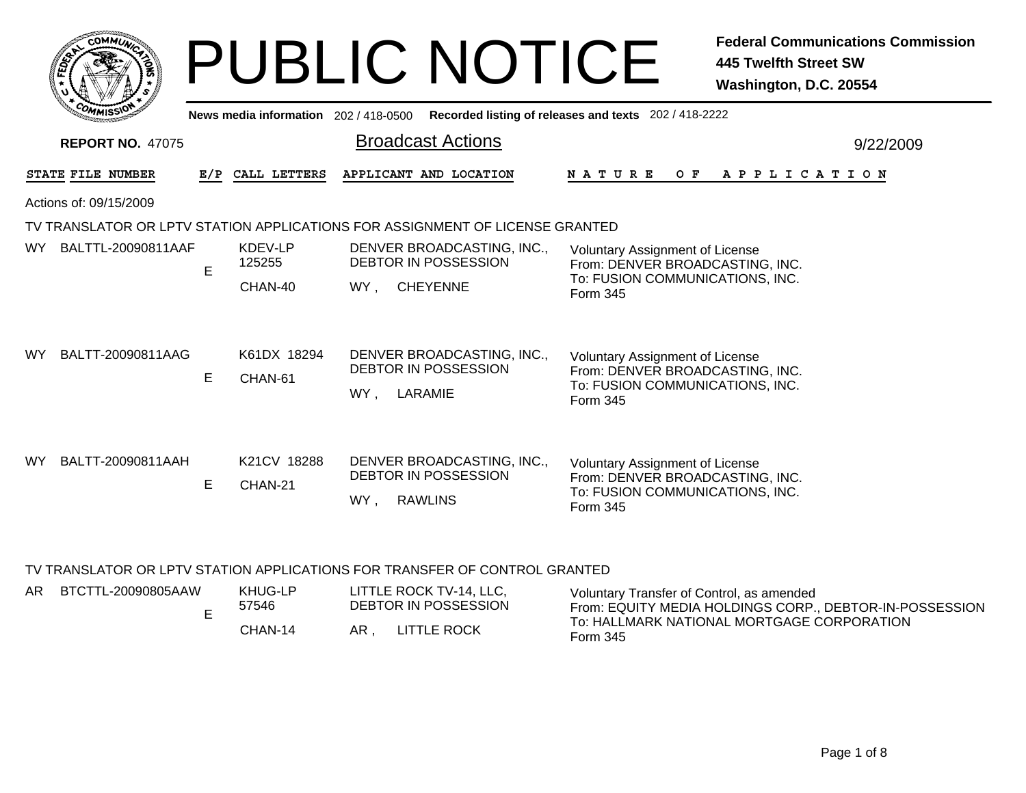|              | <b>MMUNT</b><br><b>CO</b><br>Ċ.  |  |
|--------------|----------------------------------|--|
| <b>FEDET</b> | ŗ,                               |  |
|              |                                  |  |
|              | CO <sub>MI</sub><br>MISS'<br>--- |  |

## PUBLIC NOTICE **Federal Communications Commission 445 Twelfth Street SW Washington, D.C. 20554**

| <b>WWWISSIY</b>         |                   |                        |                                                                                    |                                                                                                                          |                                                                                                                                                                                                                                         |  |  |  |  |  |
|-------------------------|-------------------|------------------------|------------------------------------------------------------------------------------|--------------------------------------------------------------------------------------------------------------------------|-----------------------------------------------------------------------------------------------------------------------------------------------------------------------------------------------------------------------------------------|--|--|--|--|--|
| <b>REPORT NO. 47075</b> |                   |                        | <b>Broadcast Actions</b>                                                           |                                                                                                                          | 9/22/2009                                                                                                                                                                                                                               |  |  |  |  |  |
|                         |                   |                        | APPLICANT AND LOCATION                                                             | N A T U R E<br>O F                                                                                                       |                                                                                                                                                                                                                                         |  |  |  |  |  |
| Actions of: 09/15/2009  |                   |                        |                                                                                    |                                                                                                                          |                                                                                                                                                                                                                                         |  |  |  |  |  |
|                         |                   |                        |                                                                                    |                                                                                                                          |                                                                                                                                                                                                                                         |  |  |  |  |  |
| BALTTL-20090811AAF      |                   | KDEV-LP<br>125255      | DENVER BROADCASTING, INC.,<br><b>DEBTOR IN POSSESSION</b>                          | <b>Voluntary Assignment of License</b><br>From: DENVER BROADCASTING, INC.                                                |                                                                                                                                                                                                                                         |  |  |  |  |  |
|                         |                   | CHAN-40                | WY,<br><b>CHEYENNE</b>                                                             | Form 345                                                                                                                 |                                                                                                                                                                                                                                         |  |  |  |  |  |
| BALTT-20090811AAG       | E.                | K61DX 18294<br>CHAN-61 | DENVER BROADCASTING, INC.,<br>DEBTOR IN POSSESSION<br>LARAMIE<br>WY,               | <b>Voluntary Assignment of License</b><br>From: DENVER BROADCASTING, INC.<br>To: FUSION COMMUNICATIONS, INC.<br>Form 345 |                                                                                                                                                                                                                                         |  |  |  |  |  |
| BALTT-20090811AAH       | E.                | K21CV 18288<br>CHAN-21 | DENVER BROADCASTING, INC.,<br><b>DEBTOR IN POSSESSION</b><br><b>RAWLINS</b><br>WY, | <b>Voluntary Assignment of License</b><br>From: DENVER BROADCASTING, INC.<br>To: FUSION COMMUNICATIONS, INC.<br>Form 345 |                                                                                                                                                                                                                                         |  |  |  |  |  |
|                         | STATE FILE NUMBER | E.                     | E/P CALL LETTERS                                                                   |                                                                                                                          | News media information 202 / 418-0500 Recorded listing of releases and texts 202 / 418-2222<br>A P P L I C A T I O N<br>TV TRANSLATOR OR LPTV STATION APPLICATIONS FOR ASSIGNMENT OF LICENSE GRANTED<br>To: FUSION COMMUNICATIONS, INC. |  |  |  |  |  |

## TV TRANSLATOR OR LPTV STATION APPLICATIONS FOR TRANSFER OF CONTROL GRANTED

|  | AR BTCTTL-20090805AAW | KHUG-LP<br>57546 | LITTLE ROCK TV-14, LLC,<br>DEBTOR IN POSSESSION | Voluntary Transfer of Control, as amended<br>From: EQUITY MEDIA HOLDINGS CORP., DEBTOR-IN-POSSESSION |
|--|-----------------------|------------------|-------------------------------------------------|------------------------------------------------------------------------------------------------------|
|  |                       | CHAN-14          | LITTLE ROCK<br>AR.                              | To: HALLMARK NATIONAL MORTGAGE CORPORATION<br>Form 345                                               |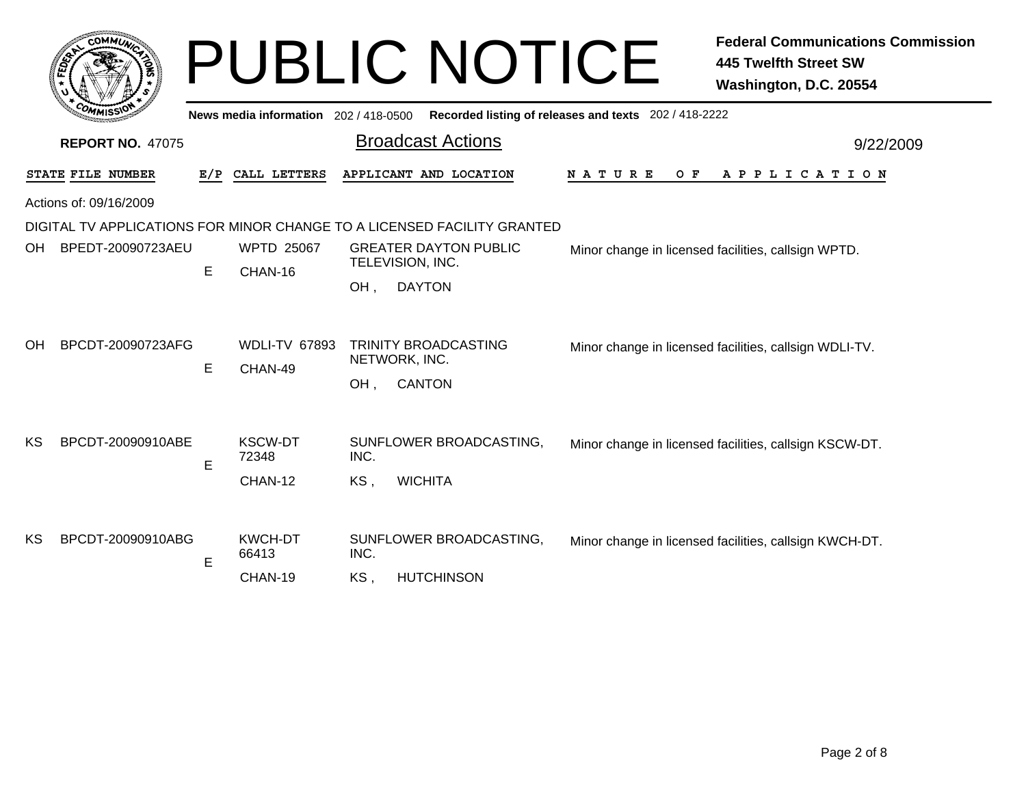|                                                                  | <b>COMMUT</b>                          |        |                                                      |                    | <b>PUBLIC NOTICE</b>                                                                                                                                                                  |                                                       | <b>Federal Communications Commission</b><br><b>445 Twelfth Street SW</b><br>Washington, D.C. 20554            |  |  |
|------------------------------------------------------------------|----------------------------------------|--------|------------------------------------------------------|--------------------|---------------------------------------------------------------------------------------------------------------------------------------------------------------------------------------|-------------------------------------------------------|---------------------------------------------------------------------------------------------------------------|--|--|
|                                                                  |                                        |        | News media information 202 / 418-0500                |                    |                                                                                                                                                                                       | Recorded listing of releases and texts 202 / 418-2222 |                                                                                                               |  |  |
| <b>Broadcast Actions</b><br><b>REPORT NO. 47075</b><br>9/22/2009 |                                        |        |                                                      |                    |                                                                                                                                                                                       |                                                       |                                                                                                               |  |  |
|                                                                  | STATE FILE NUMBER                      | E/P    | CALL LETTERS                                         |                    | APPLICANT AND LOCATION                                                                                                                                                                | N A T U R E<br>O F                                    | A P P L I C A T I O N                                                                                         |  |  |
|                                                                  | Actions of: 09/16/2009                 |        |                                                      |                    |                                                                                                                                                                                       |                                                       |                                                                                                               |  |  |
| OH<br>OH                                                         | BPEDT-20090723AEU<br>BPCDT-20090723AFG | E      | <b>WPTD 25067</b><br>CHAN-16<br><b>WDLI-TV 67893</b> | OH.                | DIGITAL TV APPLICATIONS FOR MINOR CHANGE TO A LICENSED FACILITY GRANTED<br><b>GREATER DAYTON PUBLIC</b><br>TELEVISION, INC.<br><b>DAYTON</b><br>TRINITY BROADCASTING<br>NETWORK, INC. |                                                       | Minor change in licensed facilities, callsign WPTD.<br>Minor change in licensed facilities, callsign WDLI-TV. |  |  |
| KS                                                               | BPCDT-20090910ABE                      | E<br>E | CHAN-49<br><b>KSCW-DT</b><br>72348<br>CHAN-12        | OH,<br>INC.<br>KS. | <b>CANTON</b><br>SUNFLOWER BROADCASTING,<br><b>WICHITA</b>                                                                                                                            |                                                       | Minor change in licensed facilities, callsign KSCW-DT.                                                        |  |  |
| KS                                                               | BPCDT-20090910ABG                      | E      | <b>KWCH-DT</b><br>66413<br>CHAN-19                   | INC.<br>KS,        | SUNFLOWER BROADCASTING,<br><b>HUTCHINSON</b>                                                                                                                                          |                                                       | Minor change in licensed facilities, callsign KWCH-DT.                                                        |  |  |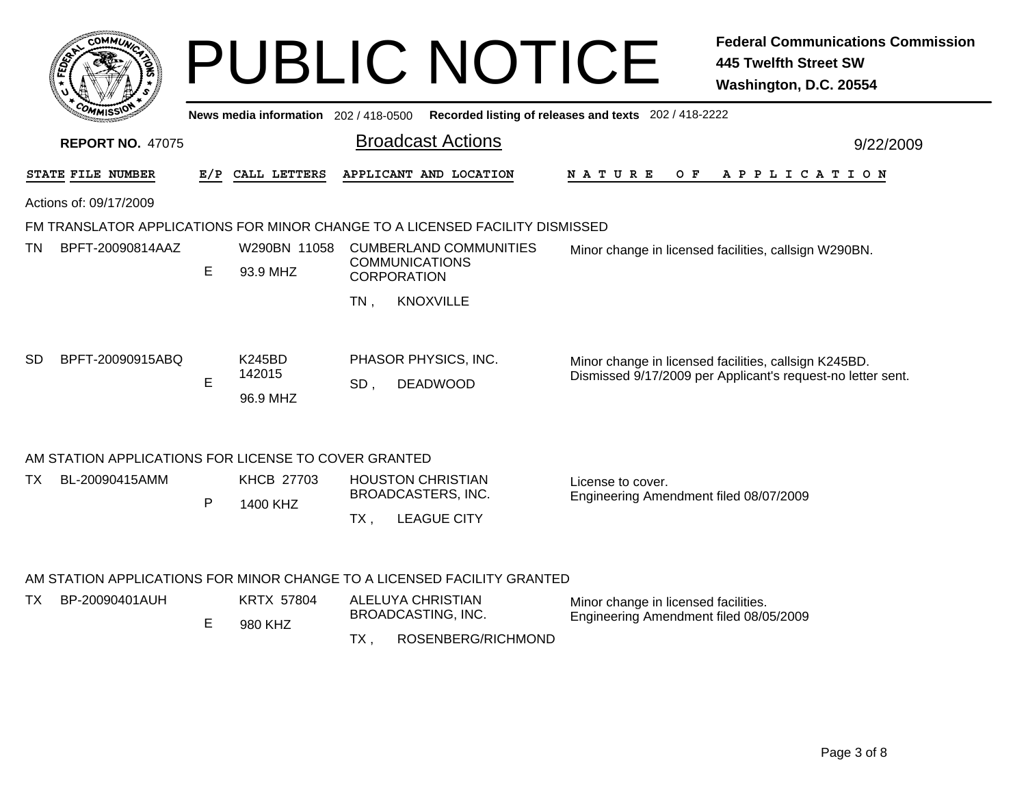|                                                                              |                          |                                     |                                                        | <b>PUBLIC NOTICE</b>                                                        |                                                             | <b>Federal Communications Commission</b><br><b>445 Twelfth Street SW</b><br>Washington, D.C. 20554                   |
|------------------------------------------------------------------------------|--------------------------|-------------------------------------|--------------------------------------------------------|-----------------------------------------------------------------------------|-------------------------------------------------------------|----------------------------------------------------------------------------------------------------------------------|
|                                                                              |                          | News media information 202/418-0500 |                                                        |                                                                             | Recorded listing of releases and texts 202 / 418-2222       |                                                                                                                      |
| <b>REPORT NO. 47075</b>                                                      |                          |                                     |                                                        | <b>Broadcast Actions</b>                                                    |                                                             | 9/22/2009                                                                                                            |
| STATE FILE NUMBER                                                            | E/P                      | CALL LETTERS                        |                                                        | APPLICANT AND LOCATION                                                      | O F<br>N A T U R E                                          | A P P L I C A T I O N                                                                                                |
| Actions of: 09/17/2009                                                       |                          |                                     |                                                        |                                                                             |                                                             |                                                                                                                      |
| FM TRANSLATOR APPLICATIONS FOR MINOR CHANGE TO A LICENSED FACILITY DISMISSED |                          |                                     |                                                        |                                                                             |                                                             |                                                                                                                      |
| BPFT-20090814AAZ<br>TN.                                                      | W290BN 11058<br>93.9 MHZ | <b>CORPORATION</b>                  | <b>CUMBERLAND COMMUNITIES</b><br><b>COMMUNICATIONS</b> | Minor change in licensed facilities, callsign W290BN.                       |                                                             |                                                                                                                      |
|                                                                              |                          |                                     | $TN$ ,                                                 | <b>KNOXVILLE</b>                                                            |                                                             |                                                                                                                      |
| SD<br>BPFT-20090915ABQ                                                       | E                        | K245BD<br>142015<br>96.9 MHZ        | SD,                                                    | PHASOR PHYSICS, INC.<br><b>DEADWOOD</b>                                     |                                                             | Minor change in licensed facilities, callsign K245BD.<br>Dismissed 9/17/2009 per Applicant's request-no letter sent. |
| AM STATION APPLICATIONS FOR LICENSE TO COVER GRANTED                         |                          |                                     |                                                        |                                                                             |                                                             |                                                                                                                      |
| BL-20090415AMM<br>TX.                                                        | P                        | <b>KHCB 27703</b><br>1400 KHZ       | $TX$ ,                                                 | <b>HOUSTON CHRISTIAN</b><br><b>BROADCASTERS, INC.</b><br><b>LEAGUE CITY</b> | License to cover.<br>Engineering Amendment filed 08/07/2009 |                                                                                                                      |
| AM STATION APPLICATIONS FOR MINOR CHANGE TO A LICENSED FACILITY GRANTED      |                          |                                     |                                                        |                                                                             |                                                             |                                                                                                                      |
| BP-20090401AUH<br>TX.                                                        |                          | <b>KRTX 57804</b>                   |                                                        | <b>ALELUYA CHRISTIAN</b>                                                    | Minor change in licensed facilities.                        |                                                                                                                      |
|                                                                              | E                        | 980 KHZ                             |                                                        | BROADCASTING, INC.                                                          | Engineering Amendment filed 08/05/2009                      |                                                                                                                      |
|                                                                              |                          |                                     | TX,                                                    | ROSENBERG/RICHMOND                                                          |                                                             |                                                                                                                      |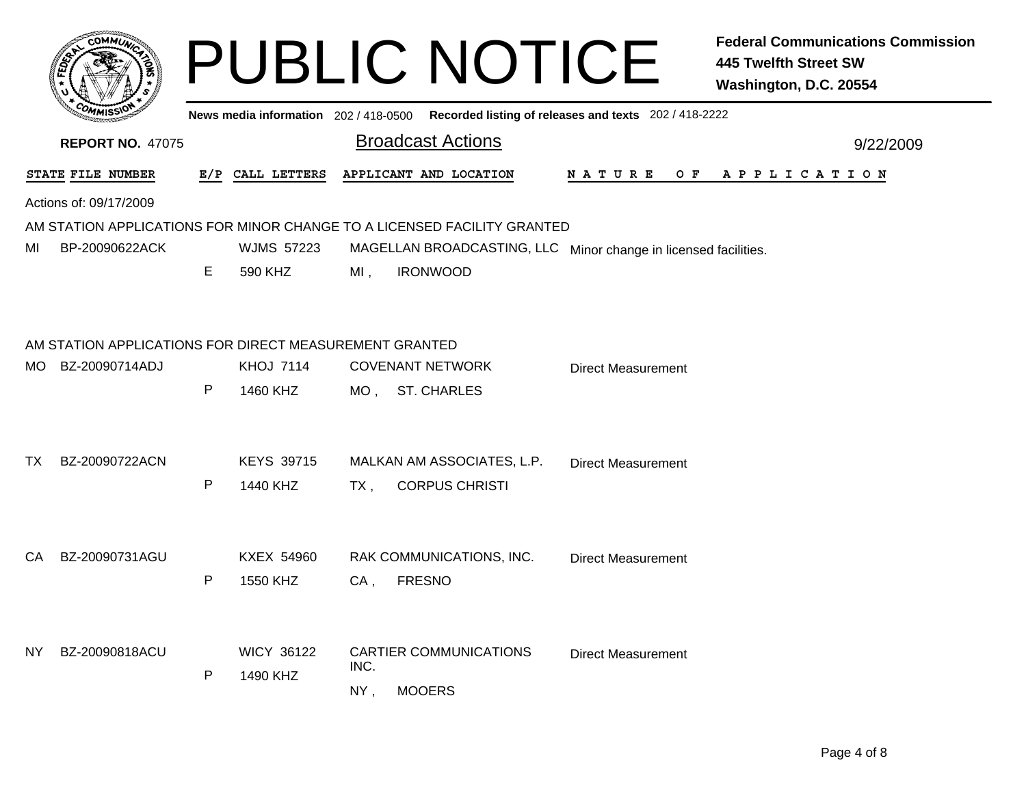|     | c.OMM1.                                                |   |                   |        | <b>PUBLIC NOTICE</b>                                                                        |                           | <b>Federal Communications Commission</b><br><b>445 Twelfth Street SW</b><br>Washington, D.C. 20554 |
|-----|--------------------------------------------------------|---|-------------------|--------|---------------------------------------------------------------------------------------------|---------------------------|----------------------------------------------------------------------------------------------------|
|     |                                                        |   |                   |        | News media information 202 / 418-0500 Recorded listing of releases and texts 202 / 418-2222 |                           |                                                                                                    |
|     | <b>REPORT NO. 47075</b>                                |   |                   |        | <b>Broadcast Actions</b>                                                                    |                           | 9/22/2009                                                                                          |
|     | STATE FILE NUMBER                                      |   | E/P CALL LETTERS  |        | APPLICANT AND LOCATION                                                                      |                           | NATURE OF APPLICATION                                                                              |
|     | Actions of: 09/17/2009                                 |   |                   |        |                                                                                             |                           |                                                                                                    |
|     |                                                        |   |                   |        | AM STATION APPLICATIONS FOR MINOR CHANGE TO A LICENSED FACILITY GRANTED                     |                           |                                                                                                    |
| ΜI  | BP-20090622ACK                                         |   | <b>WJMS 57223</b> |        | MAGELLAN BROADCASTING, LLC Minor change in licensed facilities.                             |                           |                                                                                                    |
|     |                                                        | Е | 590 KHZ           | $MI$ , | <b>IRONWOOD</b>                                                                             |                           |                                                                                                    |
|     |                                                        |   |                   |        |                                                                                             |                           |                                                                                                    |
|     | AM STATION APPLICATIONS FOR DIRECT MEASUREMENT GRANTED |   |                   |        |                                                                                             |                           |                                                                                                    |
| MO. | BZ-20090714ADJ                                         |   | <b>KHOJ 7114</b>  |        | <b>COVENANT NETWORK</b>                                                                     | <b>Direct Measurement</b> |                                                                                                    |
|     |                                                        | P | 1460 KHZ          |        | MO, ST. CHARLES                                                                             |                           |                                                                                                    |
|     |                                                        |   |                   |        |                                                                                             |                           |                                                                                                    |
|     |                                                        |   |                   |        |                                                                                             |                           |                                                                                                    |
| TX. | BZ-20090722ACN                                         |   | <b>KEYS 39715</b> |        | MALKAN AM ASSOCIATES, L.P.                                                                  | <b>Direct Measurement</b> |                                                                                                    |
|     |                                                        | P | 1440 KHZ          | TX ,   | <b>CORPUS CHRISTI</b>                                                                       |                           |                                                                                                    |
|     |                                                        |   |                   |        |                                                                                             |                           |                                                                                                    |
| CA. | BZ-20090731AGU                                         |   | <b>KXEX 54960</b> |        | RAK COMMUNICATIONS, INC.                                                                    | <b>Direct Measurement</b> |                                                                                                    |
|     |                                                        | P | 1550 KHZ          | $CA$ , | <b>FRESNO</b>                                                                               |                           |                                                                                                    |
|     |                                                        |   |                   |        |                                                                                             |                           |                                                                                                    |
|     |                                                        |   |                   |        |                                                                                             |                           |                                                                                                    |
| NY. | BZ-20090818ACU                                         |   | <b>WICY 36122</b> | INC.   | <b>CARTIER COMMUNICATIONS</b>                                                               | <b>Direct Measurement</b> |                                                                                                    |
|     |                                                        | P | 1490 KHZ          |        |                                                                                             |                           |                                                                                                    |
|     |                                                        |   |                   | NY,    | <b>MOOERS</b>                                                                               |                           |                                                                                                    |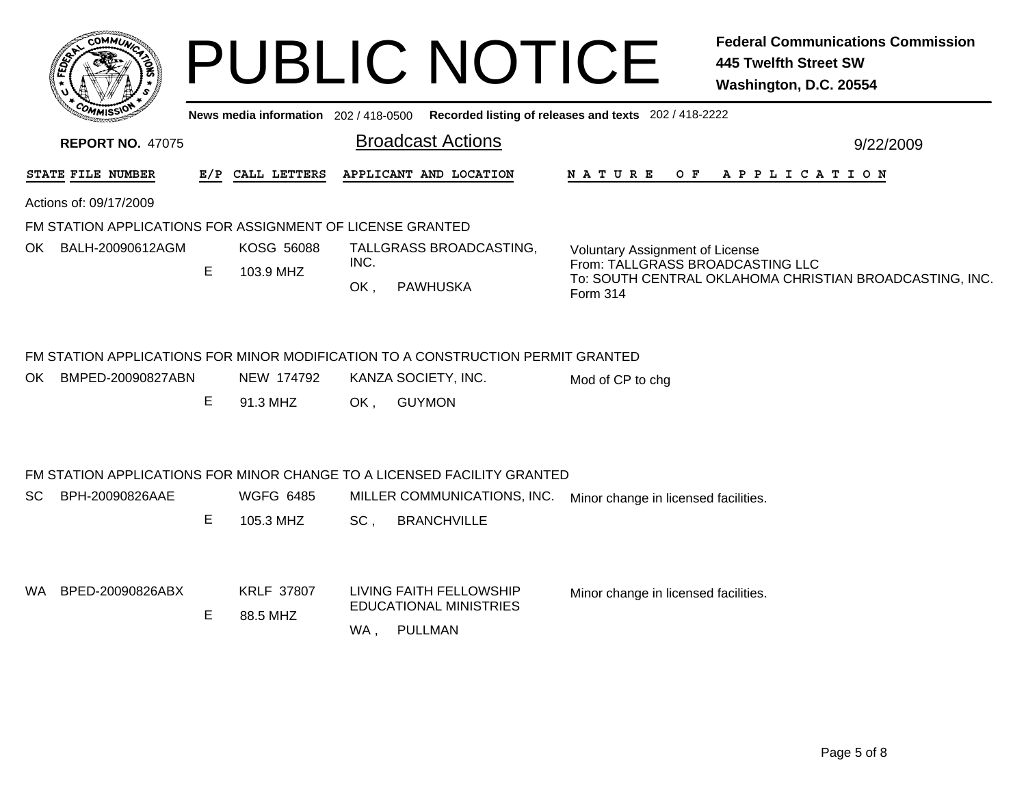|     | COMMUN,                                                   |    |                                |             | <b>PUBLIC NOTICE</b>                                                                        |                                                    |     | <b>Federal Communications Commission</b><br><b>445 Twelfth Street SW</b><br>Washington, D.C. 20554 |
|-----|-----------------------------------------------------------|----|--------------------------------|-------------|---------------------------------------------------------------------------------------------|----------------------------------------------------|-----|----------------------------------------------------------------------------------------------------|
|     |                                                           |    |                                |             | News media information 202 / 418-0500 Recorded listing of releases and texts 202 / 418-2222 |                                                    |     |                                                                                                    |
|     | <b>REPORT NO. 47075</b>                                   |    |                                |             | <b>Broadcast Actions</b>                                                                    |                                                    |     | 9/22/2009                                                                                          |
|     | STATE FILE NUMBER                                         |    | E/P CALL LETTERS               |             | APPLICANT AND LOCATION                                                                      | N A T U R E                                        | O F | A P P L I C A T I O N                                                                              |
|     | Actions of: 09/17/2009                                    |    |                                |             |                                                                                             |                                                    |     |                                                                                                    |
|     | FM STATION APPLICATIONS FOR ASSIGNMENT OF LICENSE GRANTED |    |                                |             |                                                                                             |                                                    |     |                                                                                                    |
|     | OK BALH-20090612AGM                                       | E. | <b>KOSG 56088</b><br>103.9 MHZ | INC.<br>OK, | TALLGRASS BROADCASTING,<br><b>PAWHUSKA</b>                                                  | <b>Voluntary Assignment of License</b><br>Form 314 |     | From: TALLGRASS BROADCASTING LLC<br>To: SOUTH CENTRAL OKLAHOMA CHRISTIAN BROADCASTING, INC.        |
|     | BMPED-20090827ABN                                         |    | NEW 174792                     |             | FM STATION APPLICATIONS FOR MINOR MODIFICATION TO A CONSTRUCTION PERMIT GRANTED             |                                                    |     |                                                                                                    |
| OK  |                                                           | Е  | 91.3 MHZ                       | OK,         | KANZA SOCIETY, INC.<br><b>GUYMON</b>                                                        | Mod of CP to chg                                   |     |                                                                                                    |
|     |                                                           |    |                                |             | FM STATION APPLICATIONS FOR MINOR CHANGE TO A LICENSED FACILITY GRANTED                     |                                                    |     |                                                                                                    |
| SC. | BPH-20090826AAE                                           | E. | <b>WGFG 6485</b><br>105.3 MHZ  | SC,         | MILLER COMMUNICATIONS, INC.<br><b>BRANCHVILLE</b>                                           | Minor change in licensed facilities.               |     |                                                                                                    |
|     | WA BPED-20090826ABX                                       | Е  | <b>KRLF 37807</b><br>88.5 MHZ  | WA,         | LIVING FAITH FELLOWSHIP<br><b>EDUCATIONAL MINISTRIES</b><br>PULLMAN                         | Minor change in licensed facilities.               |     |                                                                                                    |
|     |                                                           |    |                                |             |                                                                                             |                                                    |     |                                                                                                    |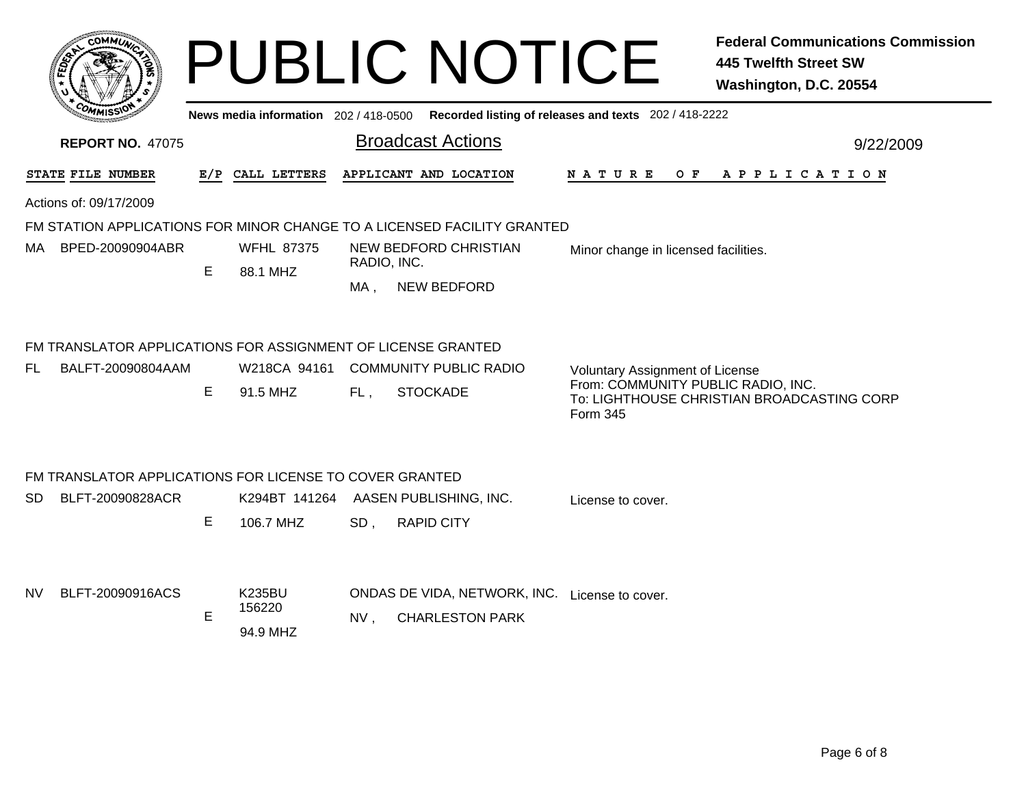|           |                                                                                   |    |                                     |                 | <b>PUBLIC NOTICE</b>                                                                        |                                                                                          | <b>Federal Communications Commission</b><br><b>445 Twelfth Street SW</b><br>Washington, D.C. 20554 |
|-----------|-----------------------------------------------------------------------------------|----|-------------------------------------|-----------------|---------------------------------------------------------------------------------------------|------------------------------------------------------------------------------------------|----------------------------------------------------------------------------------------------------|
|           |                                                                                   |    |                                     |                 | News media information 202 / 418-0500 Recorded listing of releases and texts 202 / 418-2222 |                                                                                          |                                                                                                    |
|           | <b>REPORT NO. 47075</b>                                                           |    |                                     |                 | <b>Broadcast Actions</b>                                                                    |                                                                                          | 9/22/2009                                                                                          |
|           | STATE FILE NUMBER                                                                 |    | E/P CALL LETTERS                    |                 | APPLICANT AND LOCATION                                                                      | N A T U R E<br>O F                                                                       | A P P L I C A T I O N                                                                              |
|           | Actions of: 09/17/2009                                                            |    |                                     |                 |                                                                                             |                                                                                          |                                                                                                    |
|           |                                                                                   |    |                                     |                 | FM STATION APPLICATIONS FOR MINOR CHANGE TO A LICENSED FACILITY GRANTED                     |                                                                                          |                                                                                                    |
|           | MA BPED-20090904ABR                                                               |    | <b>WFHL 87375</b>                   | RADIO, INC.     | NEW BEDFORD CHRISTIAN                                                                       | Minor change in licensed facilities.                                                     |                                                                                                    |
|           |                                                                                   | E. | 88.1 MHZ                            | MA,             | <b>NEW BEDFORD</b>                                                                          |                                                                                          |                                                                                                    |
| FL.       | FM TRANSLATOR APPLICATIONS FOR ASSIGNMENT OF LICENSE GRANTED<br>BALFT-20090804AAM | E  | 91.5 MHZ                            | FL,             | W218CA 94161 COMMUNITY PUBLIC RADIO<br><b>STOCKADE</b>                                      | <b>Voluntary Assignment of License</b><br>From: COMMUNITY PUBLIC RADIO, INC.<br>Form 345 | To: LIGHTHOUSE CHRISTIAN BROADCASTING CORP                                                         |
| SD        | FM TRANSLATOR APPLICATIONS FOR LICENSE TO COVER GRANTED<br>BLFT-20090828ACR       | E  | 106.7 MHZ                           | SD <sub>1</sub> | K294BT 141264 AASEN PUBLISHING, INC.<br><b>RAPID CITY</b>                                   | License to cover.                                                                        |                                                                                                    |
| <b>NV</b> | BLFT-20090916ACS                                                                  | Е  | <b>K235BU</b><br>156220<br>94.9 MHZ | NV,             | ONDAS DE VIDA, NETWORK, INC. License to cover.<br><b>CHARLESTON PARK</b>                    |                                                                                          |                                                                                                    |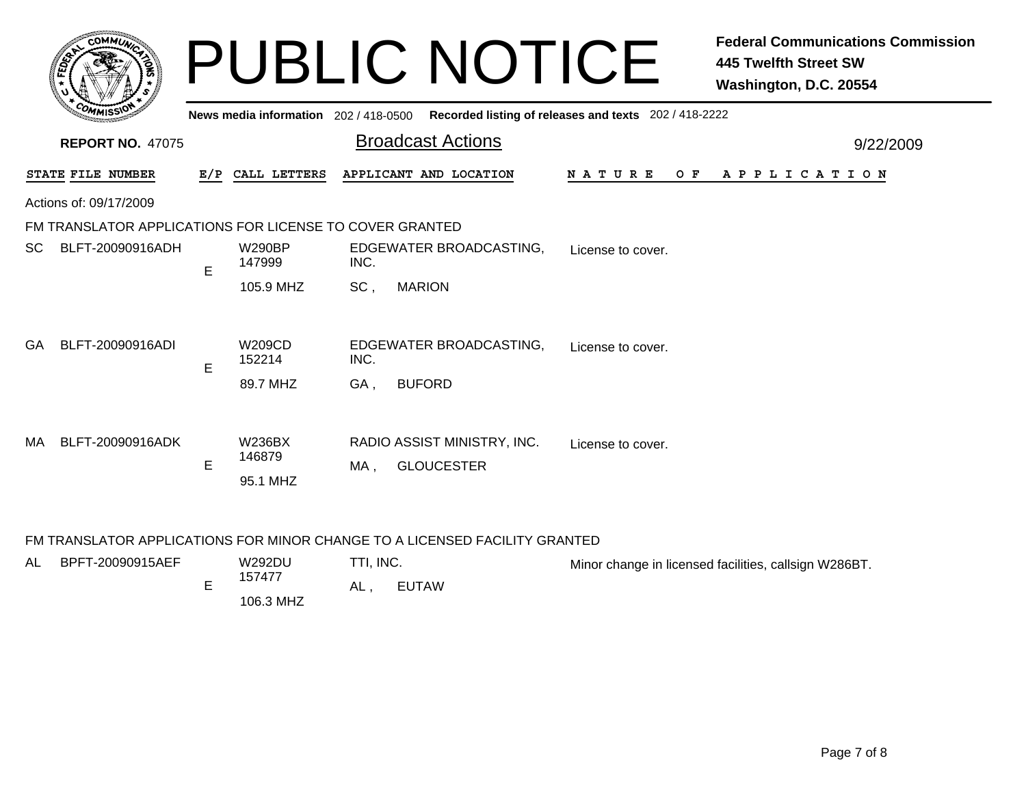|     | COMMIN                                                  |   |                                     |      | <b>PUBLIC NOTICE</b>                             |                                                       | <b>Federal Communications Commission</b><br>445 Twelfth Street SW<br>Washington, D.C. 20554 |
|-----|---------------------------------------------------------|---|-------------------------------------|------|--------------------------------------------------|-------------------------------------------------------|---------------------------------------------------------------------------------------------|
|     |                                                         |   | News media information 202/418-0500 |      |                                                  | Recorded listing of releases and texts 202 / 418-2222 |                                                                                             |
|     | <b>REPORT NO. 47075</b>                                 |   |                                     |      | <b>Broadcast Actions</b>                         |                                                       | 9/22/2009                                                                                   |
|     | STATE FILE NUMBER                                       |   | E/P CALL LETTERS                    |      | APPLICANT AND LOCATION                           | <b>NATURE</b><br>O F                                  | A P P L I C A T I O N                                                                       |
|     | Actions of: 09/17/2009                                  |   |                                     |      |                                                  |                                                       |                                                                                             |
|     | FM TRANSLATOR APPLICATIONS FOR LICENSE TO COVER GRANTED |   |                                     |      |                                                  |                                                       |                                                                                             |
| SC. | BLFT-20090916ADH                                        | E | <b>W290BP</b><br>147999             | INC. | EDGEWATER BROADCASTING,                          | License to cover.                                     |                                                                                             |
|     |                                                         |   | 105.9 MHZ                           | SC.  | <b>MARION</b>                                    |                                                       |                                                                                             |
| GA. | BLFT-20090916ADI                                        | E | W209CD<br>152214                    | INC. | EDGEWATER BROADCASTING,                          | License to cover.                                     |                                                                                             |
|     |                                                         |   | 89.7 MHZ                            | GA,  | <b>BUFORD</b>                                    |                                                       |                                                                                             |
| MA  | BLFT-20090916ADK                                        | E | <b>W236BX</b><br>146879<br>95.1 MHZ | MA.  | RADIO ASSIST MINISTRY, INC.<br><b>GLOUCESTER</b> | License to cover.                                     |                                                                                             |

## FM TRANSLATOR APPLICATIONS FOR MINOR CHANGE TO A LICENSED FACILITY GRANTED

| AL | BPFT-20090915AEF | <b>W292DU</b> | TTI, INC. |       | Minor change in licensed facilities, callsign W286BT. |
|----|------------------|---------------|-----------|-------|-------------------------------------------------------|
|    |                  | 157477        | AL        | EUTAW |                                                       |
|    |                  | 106.3 MHZ     |           |       |                                                       |